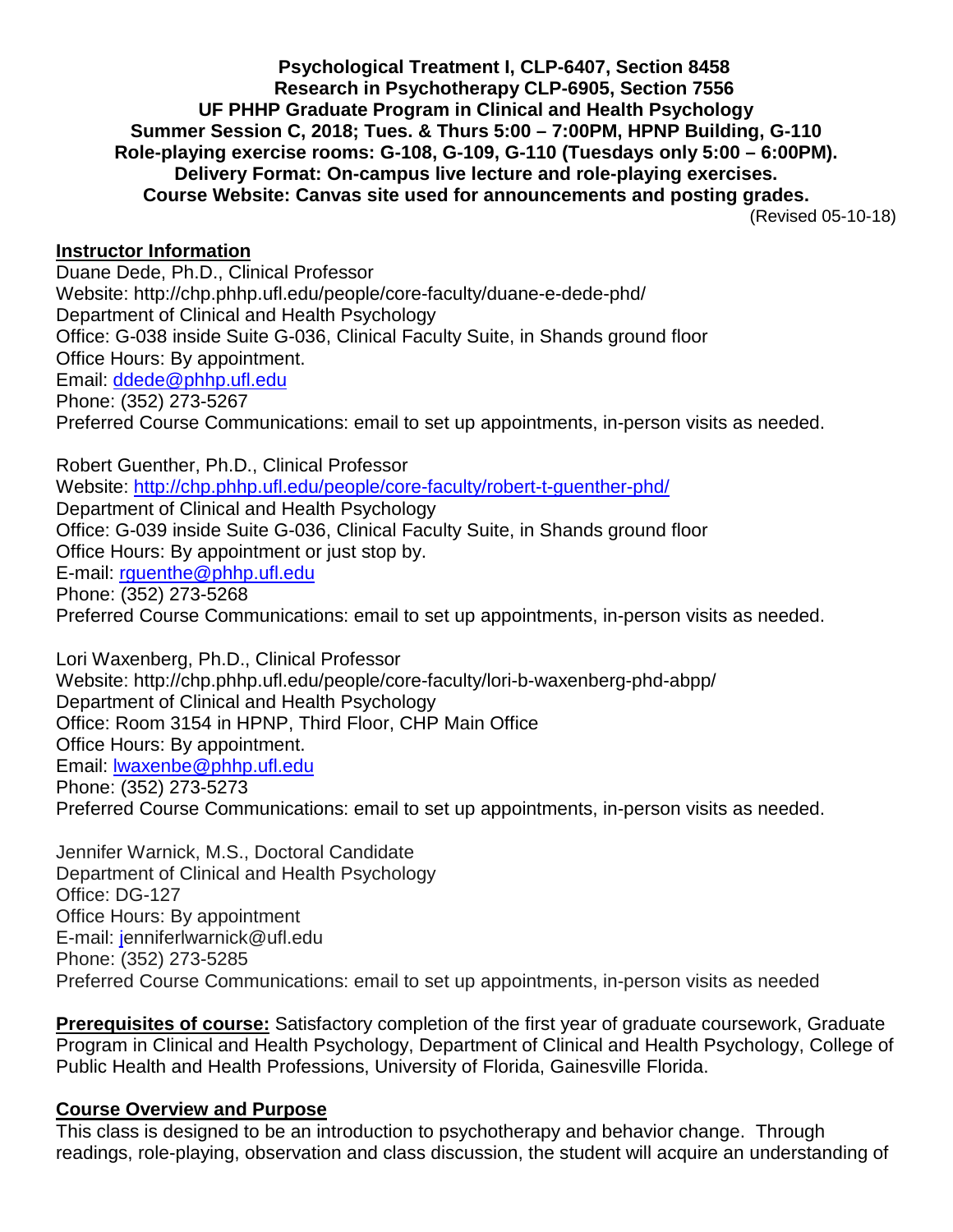**Psychological Treatment I, CLP-6407, Section 8458 Research in Psychotherapy CLP-6905, Section 7556 UF PHHP Graduate Program in Clinical and Health Psychology Summer Session C, 2018; Tues. & Thurs 5:00 – 7:00PM, HPNP Building, G-110 Role-playing exercise rooms: G-108, G-109, G-110 (Tuesdays only 5:00 – 6:00PM). Delivery Format: On-campus live lecture and role-playing exercises. Course Website: Canvas site used for announcements and posting grades.**

(Revised 05-10-18)

#### **Instructor Information**

Duane Dede, Ph.D., Clinical Professor Website: http://chp.phhp.ufl.edu/people/core-faculty/duane-e-dede-phd/ Department of Clinical and Health Psychology Office: G-038 inside Suite G-036, Clinical Faculty Suite, in Shands ground floor Office Hours: By appointment. Email: [ddede@phhp.ufl.edu](mailto:ddede@phhp.ufl.edu) Phone: (352) 273-5267 Preferred Course Communications: email to set up appointments, in-person visits as needed.

Robert Guenther, Ph.D., Clinical Professor Website:<http://chp.phhp.ufl.edu/people/core-faculty/robert-t-guenther-phd/> Department of Clinical and Health Psychology Office: G-039 inside Suite G-036, Clinical Faculty Suite, in Shands ground floor Office Hours: By appointment or just stop by. E-mail: [rguenthe@phhp.ufl.edu](mailto:rguenthe@phhp.ufl.edu) Phone: (352) 273-5268 Preferred Course Communications: email to set up appointments, in-person visits as needed.

Lori Waxenberg, Ph.D., Clinical Professor Website: http://chp.phhp.ufl.edu/people/core-faculty/lori-b-waxenberg-phd-abpp/ Department of Clinical and Health Psychology Office: Room 3154 in HPNP, Third Floor, CHP Main Office Office Hours: By appointment. Email: [lwaxenbe@phhp.ufl.edu](mailto:lwaxenbe@phhp.ufl.edu) Phone: (352) 273-5273 Preferred Course Communications: email to set up appointments, in-person visits as needed.

Jennifer Warnick, M.S., Doctoral Candidate Department of Clinical and Health Psychology Office: DG-127 Office Hours: By appointment E-mail: [je](mailto:rguenthe@phhp.ufl.edu)nniferlwarnick@ufl.edu Phone: (352) 273-5285 Preferred Course Communications: email to set up appointments, in-person visits as needed

**Prerequisites of course:** Satisfactory completion of the first year of graduate coursework, Graduate Program in Clinical and Health Psychology, Department of Clinical and Health Psychology, College of Public Health and Health Professions, University of Florida, Gainesville Florida.

#### **Course Overview and Purpose**

This class is designed to be an introduction to psychotherapy and behavior change. Through readings, role-playing, observation and class discussion, the student will acquire an understanding of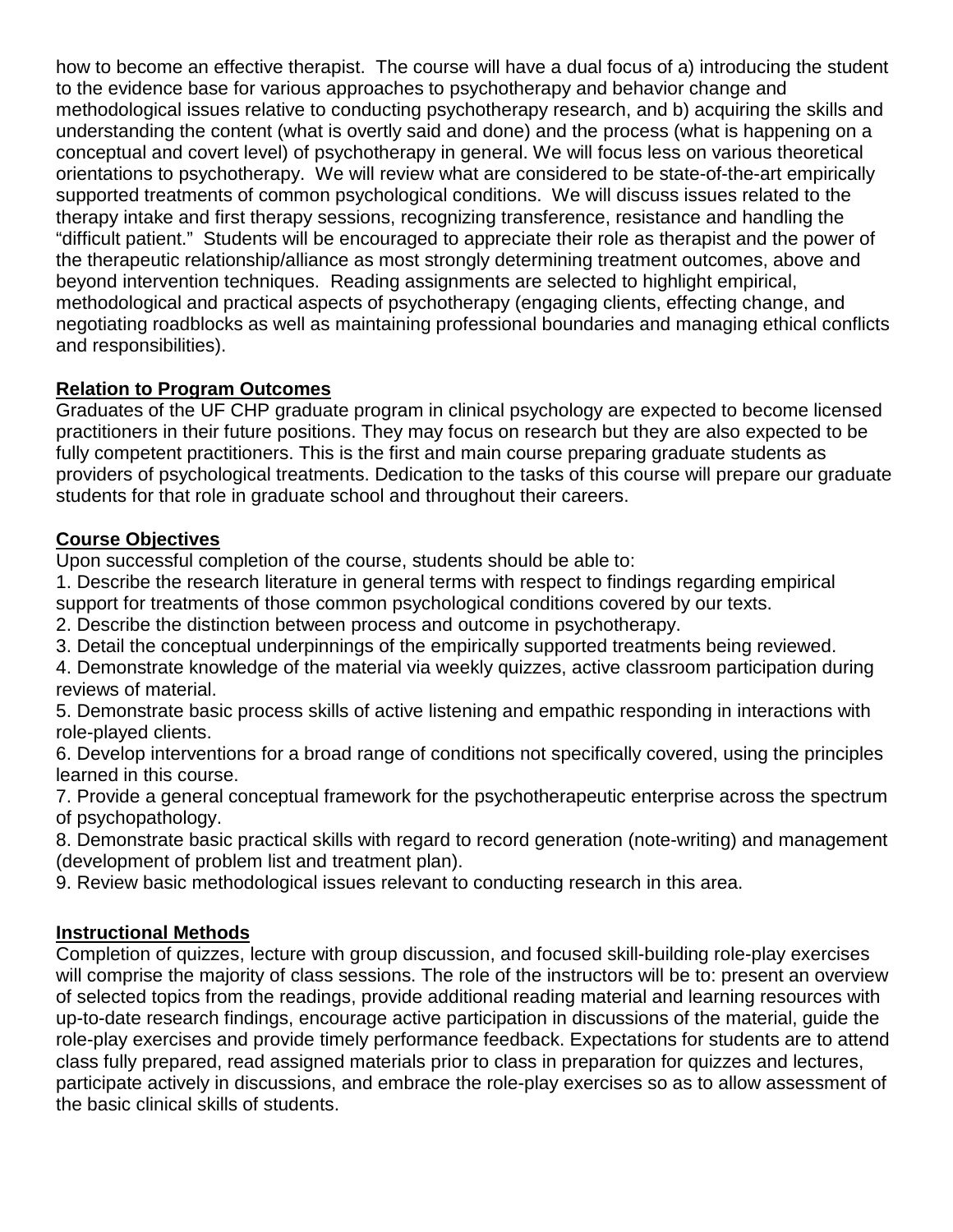how to become an effective therapist. The course will have a dual focus of a) introducing the student to the evidence base for various approaches to psychotherapy and behavior change and methodological issues relative to conducting psychotherapy research, and b) acquiring the skills and understanding the content (what is overtly said and done) and the process (what is happening on a conceptual and covert level) of psychotherapy in general. We will focus less on various theoretical orientations to psychotherapy. We will review what are considered to be state-of-the-art empirically supported treatments of common psychological conditions. We will discuss issues related to the therapy intake and first therapy sessions, recognizing transference, resistance and handling the "difficult patient." Students will be encouraged to appreciate their role as therapist and the power of the therapeutic relationship/alliance as most strongly determining treatment outcomes, above and beyond intervention techniques. Reading assignments are selected to highlight empirical, methodological and practical aspects of psychotherapy (engaging clients, effecting change, and negotiating roadblocks as well as maintaining professional boundaries and managing ethical conflicts and responsibilities).

## **Relation to Program Outcomes**

Graduates of the UF CHP graduate program in clinical psychology are expected to become licensed practitioners in their future positions. They may focus on research but they are also expected to be fully competent practitioners. This is the first and main course preparing graduate students as providers of psychological treatments. Dedication to the tasks of this course will prepare our graduate students for that role in graduate school and throughout their careers.

## **Course Objectives**

Upon successful completion of the course, students should be able to:

1. Describe the research literature in general terms with respect to findings regarding empirical support for treatments of those common psychological conditions covered by our texts.

2. Describe the distinction between process and outcome in psychotherapy.

3. Detail the conceptual underpinnings of the empirically supported treatments being reviewed.

4. Demonstrate knowledge of the material via weekly quizzes, active classroom participation during reviews of material.

5. Demonstrate basic process skills of active listening and empathic responding in interactions with role-played clients.

6. Develop interventions for a broad range of conditions not specifically covered, using the principles learned in this course.

7. Provide a general conceptual framework for the psychotherapeutic enterprise across the spectrum of psychopathology.

8. Demonstrate basic practical skills with regard to record generation (note-writing) and management (development of problem list and treatment plan).

9. Review basic methodological issues relevant to conducting research in this area.

## **Instructional Methods**

Completion of quizzes, lecture with group discussion, and focused skill-building role-play exercises will comprise the majority of class sessions. The role of the instructors will be to: present an overview of selected topics from the readings, provide additional reading material and learning resources with up-to-date research findings, encourage active participation in discussions of the material, guide the role-play exercises and provide timely performance feedback. Expectations for students are to attend class fully prepared, read assigned materials prior to class in preparation for quizzes and lectures, participate actively in discussions, and embrace the role-play exercises so as to allow assessment of the basic clinical skills of students.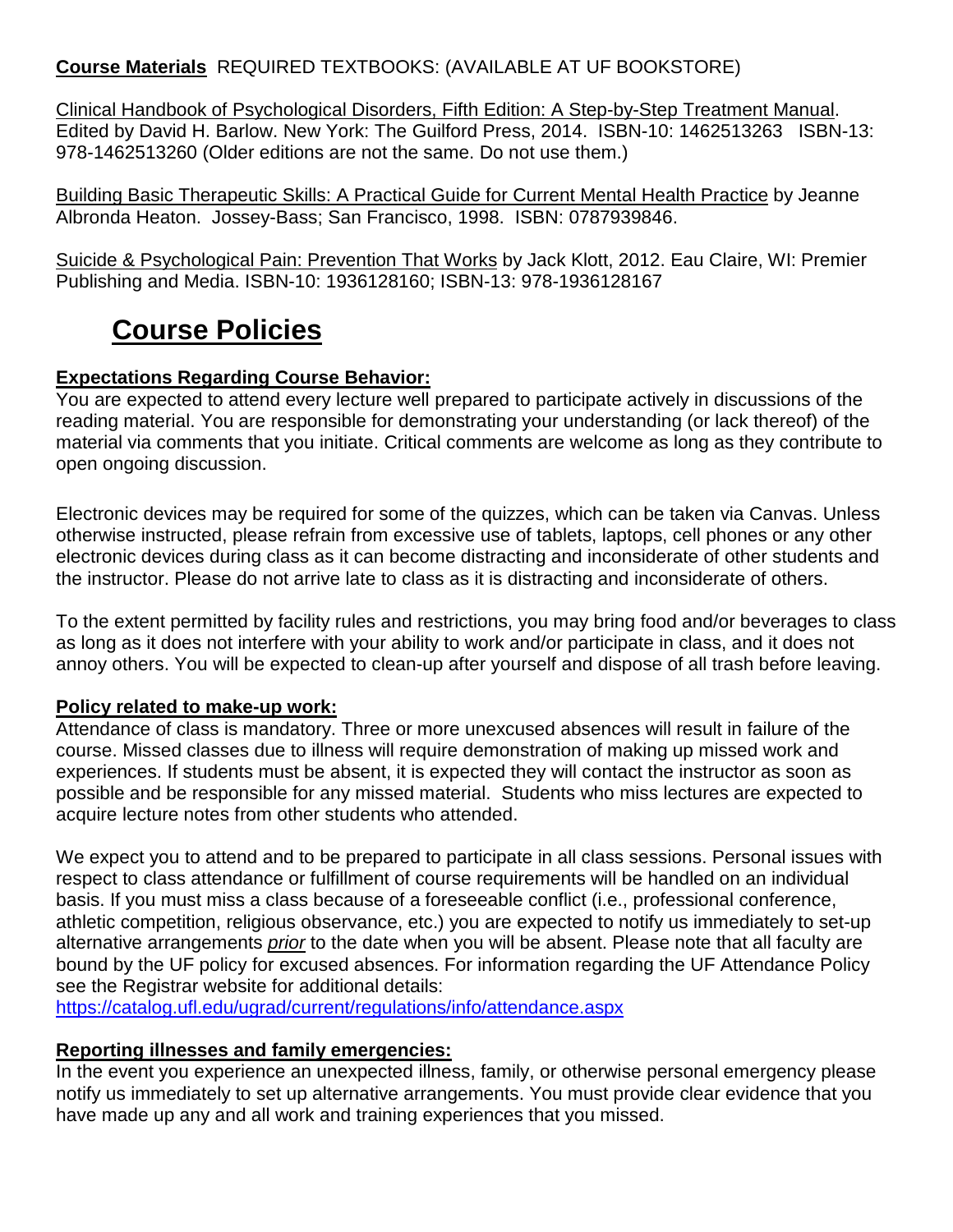## **Course Materials** REQUIRED TEXTBOOKS: (AVAILABLE AT UF BOOKSTORE)

Clinical Handbook of Psychological Disorders, Fifth Edition: A Step-by-Step Treatment Manual. Edited by David H. Barlow. New York: The Guilford Press, 2014. ISBN-10: 1462513263 ISBN-13: 978-1462513260 (Older editions are not the same. Do not use them.)

Building Basic Therapeutic Skills: A Practical Guide for Current Mental Health Practice by Jeanne Albronda Heaton. Jossey-Bass; San Francisco, 1998. ISBN: 0787939846.

Suicide & Psychological Pain: Prevention That Works by Jack Klott, 2012. Eau Claire, WI: Premier Publishing and Media. ISBN-10: 1936128160; ISBN-13: 978-1936128167

# **Course Policies**

## **Expectations Regarding Course Behavior:**

You are expected to attend every lecture well prepared to participate actively in discussions of the reading material. You are responsible for demonstrating your understanding (or lack thereof) of the material via comments that you initiate. Critical comments are welcome as long as they contribute to open ongoing discussion.

Electronic devices may be required for some of the quizzes, which can be taken via Canvas. Unless otherwise instructed, please refrain from excessive use of tablets, laptops, cell phones or any other electronic devices during class as it can become distracting and inconsiderate of other students and the instructor. Please do not arrive late to class as it is distracting and inconsiderate of others.

To the extent permitted by facility rules and restrictions, you may bring food and/or beverages to class as long as it does not interfere with your ability to work and/or participate in class, and it does not annoy others. You will be expected to clean-up after yourself and dispose of all trash before leaving.

#### **Policy related to make-up work:**

Attendance of class is mandatory. Three or more unexcused absences will result in failure of the course. Missed classes due to illness will require demonstration of making up missed work and experiences. If students must be absent, it is expected they will contact the instructor as soon as possible and be responsible for any missed material. Students who miss lectures are expected to acquire lecture notes from other students who attended.

We expect you to attend and to be prepared to participate in all class sessions. Personal issues with respect to class attendance or fulfillment of course requirements will be handled on an individual basis. If you must miss a class because of a foreseeable conflict (i.e., professional conference, athletic competition, religious observance, etc.) you are expected to notify us immediately to set-up alternative arrangements *prior* to the date when you will be absent. Please note that all faculty are bound by the UF policy for excused absences. For information regarding the UF Attendance Policy see the Registrar website for additional details:

<https://catalog.ufl.edu/ugrad/current/regulations/info/attendance.aspx>

#### **Reporting illnesses and family emergencies:**

In the event you experience an unexpected illness, family, or otherwise personal emergency please notify us immediately to set up alternative arrangements. You must provide clear evidence that you have made up any and all work and training experiences that you missed.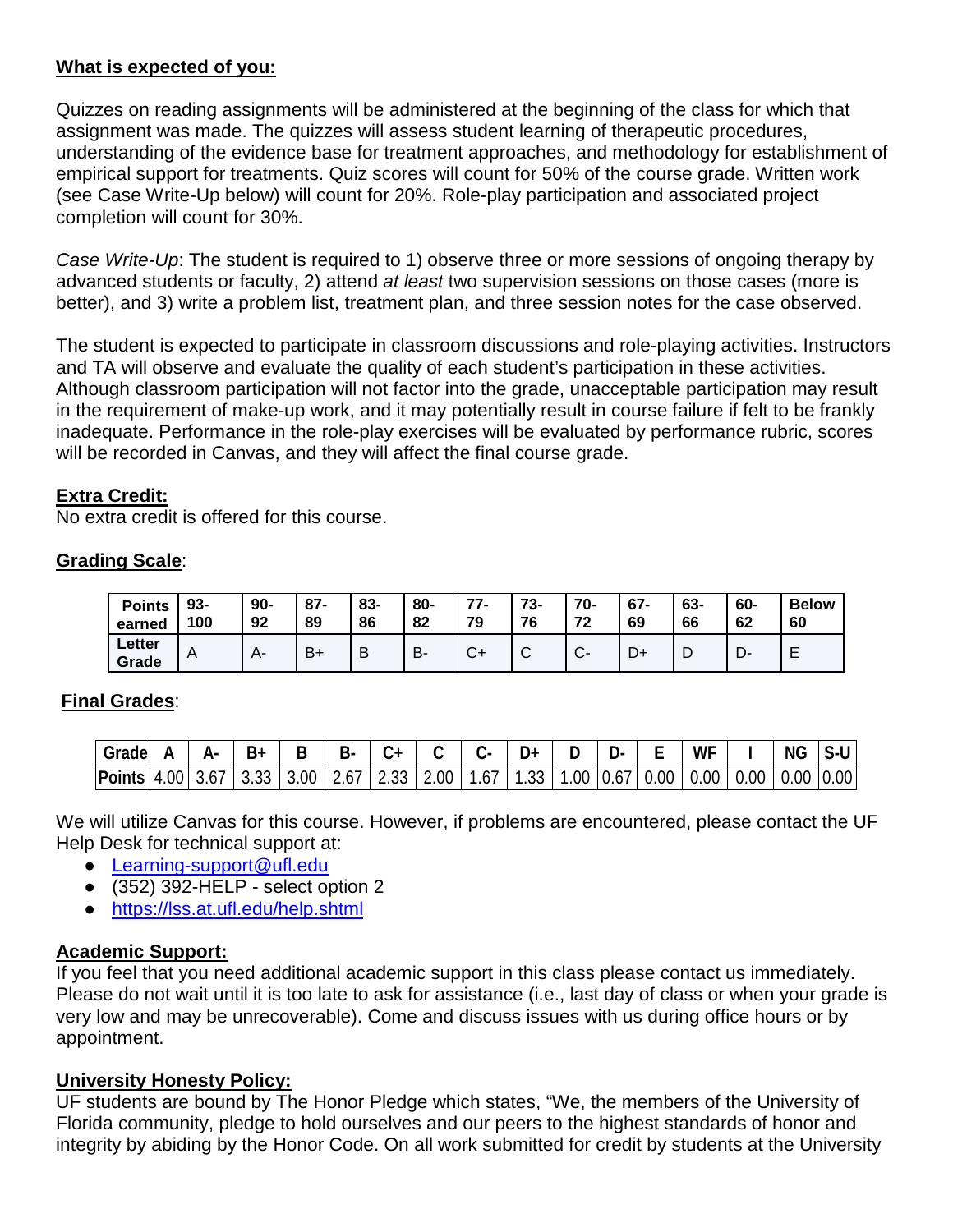## **What is expected of you:**

Quizzes on reading assignments will be administered at the beginning of the class for which that assignment was made. The quizzes will assess student learning of therapeutic procedures, understanding of the evidence base for treatment approaches, and methodology for establishment of empirical support for treatments. Quiz scores will count for 50% of the course grade. Written work (see Case Write-Up below) will count for 20%. Role-play participation and associated project completion will count for 30%.

*Case Write-Up*: The student is required to 1) observe three or more sessions of ongoing therapy by advanced students or faculty, 2) attend *at least* two supervision sessions on those cases (more is better), and 3) write a problem list, treatment plan, and three session notes for the case observed.

The student is expected to participate in classroom discussions and role-playing activities. Instructors and TA will observe and evaluate the quality of each student's participation in these activities. Although classroom participation will not factor into the grade, unacceptable participation may result in the requirement of make-up work, and it may potentially result in course failure if felt to be frankly inadequate. Performance in the role-play exercises will be evaluated by performance rubric, scores will be recorded in Canvas, and they will affect the final course grade.

#### **Extra Credit:**

No extra credit is offered for this course.

#### **Grading Scale**:

| <b>Points</b>   | 93- | $90 -$ | $87 -$         | 83- | 80- | 77.          | 73- | $70-$          | $67 -$ | 63- | 60- | <b>Below</b> |
|-----------------|-----|--------|----------------|-----|-----|--------------|-----|----------------|--------|-----|-----|--------------|
| earned          | 100 | 92     | 89             | 86  | 82  | 79           | 76  | 72             | 69     | 66  | 62  | 60           |
| Letter<br>Grade | A   |        | B <sub>1</sub> | B   | В.  | $\sim$<br>∪1 | ◡   | $\sim$<br>- UT | D+     | - D | יש. |              |

## **Final Grades**:

| Grade         |      |      |      |          | R.   |              |          |             |                  | л. | <b>WF</b> |                                  | <b>NG</b>     | ิ -บ |
|---------------|------|------|------|----------|------|--------------|----------|-------------|------------------|----|-----------|----------------------------------|---------------|------|
| <b>Points</b> | 4.00 | 3.67 | ບ.ບບ | $3.00-1$ | 2.67 | $\vert$ 2.33 | $2.00-1$ | 67 I<br>، ب | .33 <sup>1</sup> |    |           | 1.00   0.67   0.00   0.00   0.00 | $0.00$ $0.00$ |      |

We will utilize Canvas for this course. However, if problems are encountered, please contact the UF Help Desk for technical support at:

- Learning-support@ufl.edu
- $\bullet$  (352) 392-HELP select option 2
- <https://lss.at.ufl.edu/help.shtml>

## **Academic Support:**

If you feel that you need additional academic support in this class please contact us immediately. Please do not wait until it is too late to ask for assistance (i.e., last day of class or when your grade is very low and may be unrecoverable). Come and discuss issues with us during office hours or by appointment.

## **University Honesty Policy:**

UF students are bound by The Honor Pledge which states, "We, the members of the University of Florida community, pledge to hold ourselves and our peers to the highest standards of honor and integrity by abiding by the Honor Code. On all work submitted for credit by students at the University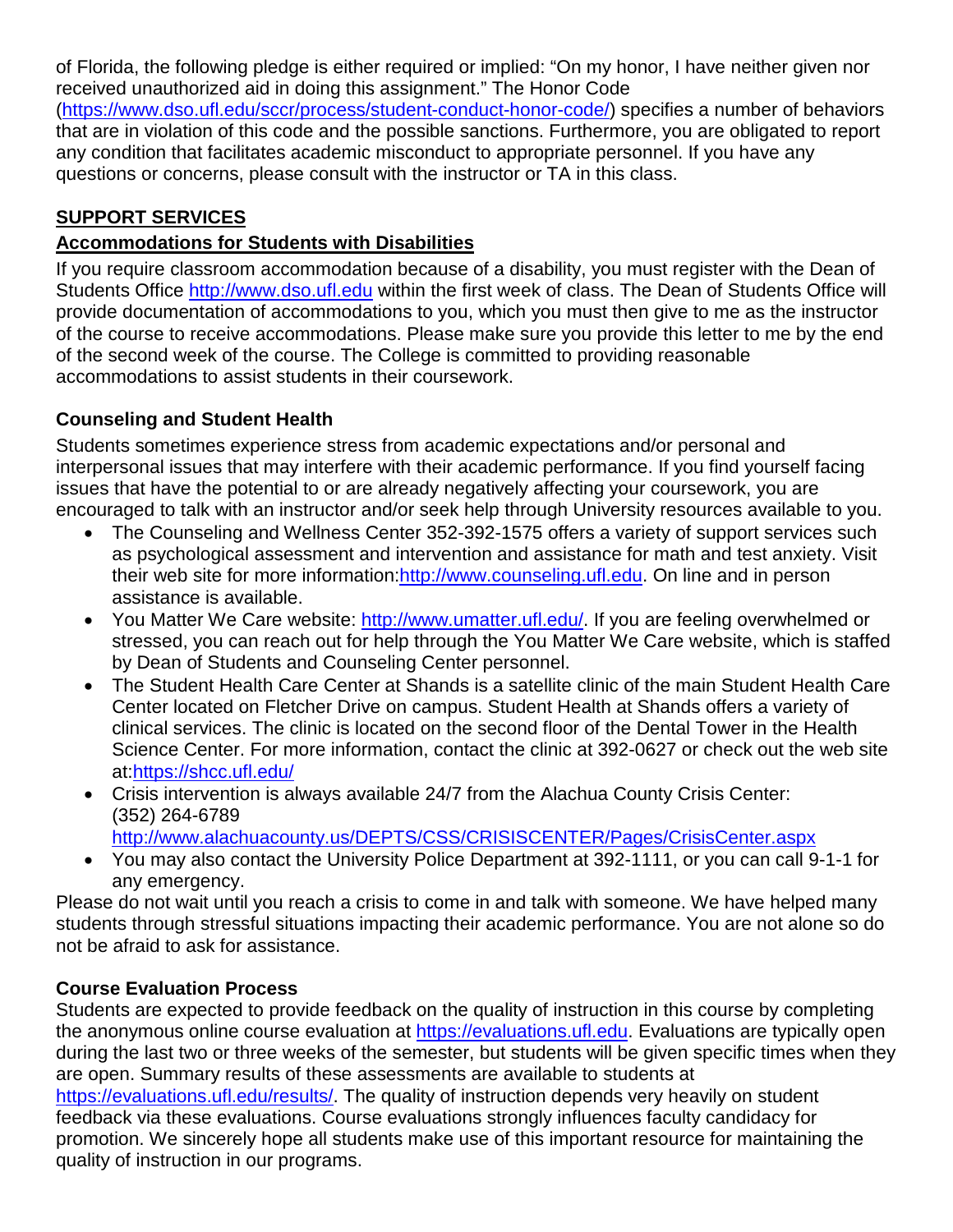of Florida, the following pledge is either required or implied: "On my honor, I have neither given nor received unauthorized aid in doing this assignment." The Honor Code [\(https://www.dso.ufl.edu/sccr/process/student-conduct-honor-code/\)](https://www.dso.ufl.edu/sccr/process/student-conduct-honor-code/) specifies a number of behaviors that are in violation of this code and the possible sanctions. Furthermore, you are obligated to report any condition that facilitates academic misconduct to appropriate personnel. If you have any questions or concerns, please consult with the instructor or TA in this class.

## **SUPPORT SERVICES**

## **Accommodations for Students with Disabilities**

If you require classroom accommodation because of a disability, you must register with the Dean of Students Office [http://www.dso.ufl.edu](http://www.dso.ufl.edu/) within the first week of class. The Dean of Students Office will provide documentation of accommodations to you, which you must then give to me as the instructor of the course to receive accommodations. Please make sure you provide this letter to me by the end of the second week of the course. The College is committed to providing reasonable accommodations to assist students in their coursework.

## **Counseling and Student Health**

Students sometimes experience stress from academic expectations and/or personal and interpersonal issues that may interfere with their academic performance. If you find yourself facing issues that have the potential to or are already negatively affecting your coursework, you are encouraged to talk with an instructor and/or seek help through University resources available to you.

- The Counseling and Wellness Center 352-392-1575 offers a variety of support services such as psychological assessment and intervention and assistance for math and test anxiety. Visit their web site for more information[:http://www.counseling.ufl.edu.](http://www.counseling.ufl.edu/) On line and in person assistance is available.
- You Matter We Care website: [http://www.umatter.ufl.edu/.](http://www.umatter.ufl.edu/) If you are feeling overwhelmed or stressed, you can reach out for help through the You Matter We Care website, which is staffed by Dean of Students and Counseling Center personnel.
- The Student Health Care Center at Shands is a satellite clinic of the main Student Health Care Center located on Fletcher Drive on campus. Student Health at Shands offers a variety of clinical services. The clinic is located on the second floor of the Dental Tower in the Health Science Center. For more information, contact the clinic at 392-0627 or check out the web site at[:https://shcc.ufl.edu/](https://shcc.ufl.edu/)
- Crisis intervention is always available 24/7 from the Alachua County Crisis Center: (352) 264-6789 <http://www.alachuacounty.us/DEPTS/CSS/CRISISCENTER/Pages/CrisisCenter.aspx>
- You may also contact the University Police Department at 392-1111, or you can call 9-1-1 for any emergency.

Please do not wait until you reach a crisis to come in and talk with someone. We have helped many students through stressful situations impacting their academic performance. You are not alone so do not be afraid to ask for assistance.

## **Course Evaluation Process**

Students are expected to provide feedback on the quality of instruction in this course by completing the anonymous online course evaluation at [https://evaluations.ufl.edu.](https://evaluations.ufl.edu/) Evaluations are typically open during the last two or three weeks of the semester, but students will be given specific times when they are open. Summary results of these assessments are available to students at

[https://evaluations.ufl.edu/results/.](https://evaluations.ufl.edu/results/) The quality of instruction depends very heavily on student feedback via these evaluations. Course evaluations strongly influences faculty candidacy for promotion. We sincerely hope all students make use of this important resource for maintaining the quality of instruction in our programs.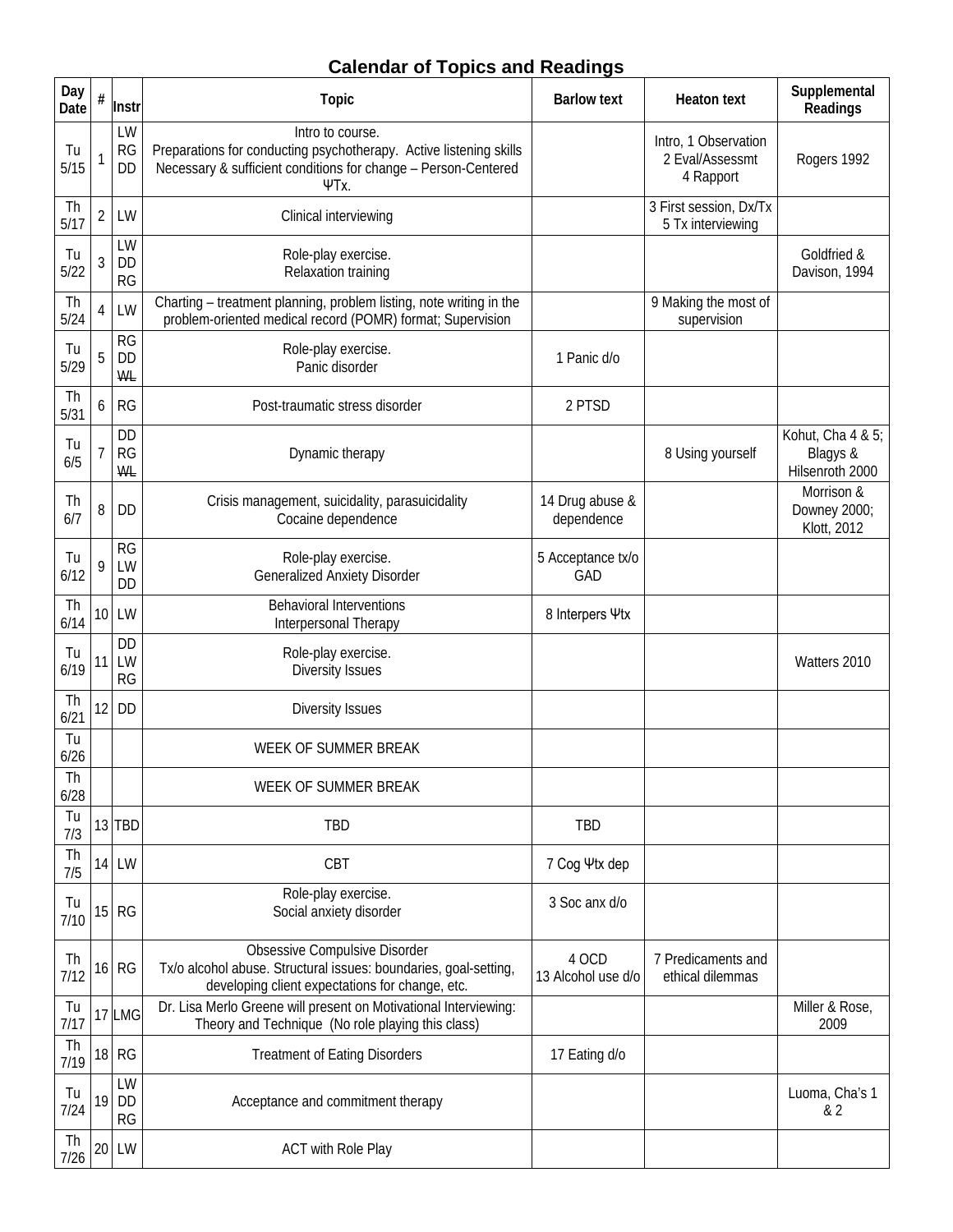## **Calendar of Topics and Readings**

| Day<br>Date | #              | Instr                        | <b>Topic</b>                                                                                                                                                     | <b>Barlow text</b>            | <b>Heaton text</b>                                   | Supplemental<br>Readings                         |
|-------------|----------------|------------------------------|------------------------------------------------------------------------------------------------------------------------------------------------------------------|-------------------------------|------------------------------------------------------|--------------------------------------------------|
| Tu<br>5/15  | $\mathbf{1}$   | LW<br><b>RG</b><br><b>DD</b> | Intro to course.<br>Preparations for conducting psychotherapy. Active listening skills<br>Necessary & sufficient conditions for change - Person-Centered<br>ΨTx. |                               | Intro, 1 Observation<br>2 Eval/Assessmt<br>4 Rapport | Rogers 1992                                      |
| Th<br>5/17  | $\overline{2}$ | LW                           | Clinical interviewing                                                                                                                                            |                               | 3 First session, Dx/Tx<br>5 Tx interviewing          |                                                  |
| Tu<br>5/22  | $\mathfrak{Z}$ | LW<br>DD<br><b>RG</b>        | Role-play exercise.<br>Relaxation training                                                                                                                       |                               |                                                      | Goldfried &<br>Davison, 1994                     |
| Th<br>5/24  | $\overline{4}$ | LW                           | Charting - treatment planning, problem listing, note writing in the<br>problem-oriented medical record (POMR) format; Supervision                                |                               | 9 Making the most of<br>supervision                  |                                                  |
| Tu<br>5/29  | 5              | <b>RG</b><br>DD<br><b>WL</b> | Role-play exercise.<br>Panic disorder                                                                                                                            | 1 Panic d/o                   |                                                      |                                                  |
| Th<br>5/31  | 6              | <b>RG</b>                    | Post-traumatic stress disorder                                                                                                                                   | 2 PTSD                        |                                                      |                                                  |
| Tu<br>6/5   | $\overline{1}$ | <b>DD</b><br><b>RG</b><br>WL | Dynamic therapy                                                                                                                                                  |                               | 8 Using yourself                                     | Kohut, Cha 4 & 5;<br>Blagys &<br>Hilsenroth 2000 |
| Th<br>6/7   | 8              | <b>DD</b>                    | Crisis management, suicidality, parasuicidality<br>Cocaine dependence                                                                                            | 14 Drug abuse &<br>dependence |                                                      | Morrison &<br>Downey 2000;<br>Klott, 2012        |
| Tu<br>6/12  | 9              | <b>RG</b><br>LW<br>DD        | Role-play exercise.<br><b>Generalized Anxiety Disorder</b>                                                                                                       | 5 Acceptance tx/o<br>GAD      |                                                      |                                                  |
| Th<br>6/14  | 10             | LW                           | <b>Behavioral Interventions</b><br>Interpersonal Therapy                                                                                                         | 8 Interpers Ψtx               |                                                      |                                                  |
| Tu<br>6/19  | 11             | <b>DD</b><br>LW<br><b>RG</b> | Role-play exercise.<br>Diversity Issues                                                                                                                          |                               |                                                      | Watters 2010                                     |
| Th<br>6/21  | 12             | <b>DD</b>                    | Diversity Issues                                                                                                                                                 |                               |                                                      |                                                  |
| Tu<br>6/26  |                |                              | WEEK OF SUMMER BREAK                                                                                                                                             |                               |                                                      |                                                  |
| Th<br>6/28  |                |                              | WEEK OF SUMMER BREAK                                                                                                                                             |                               |                                                      |                                                  |
| Tu<br>7/3   |                | $13$ TBD                     | TBD                                                                                                                                                              | TBD                           |                                                      |                                                  |
| Th<br>7/5   | 14             | LW                           | CBT                                                                                                                                                              | 7 Cog Ψtx dep                 |                                                      |                                                  |
| Tu<br>7/10  | 15             | RG                           | Role-play exercise.<br>Social anxiety disorder                                                                                                                   | 3 Soc anx d/o                 |                                                      |                                                  |
| Th<br>7/12  | 16             | RG                           | <b>Obsessive Compulsive Disorder</b><br>Tx/o alcohol abuse. Structural issues: boundaries, goal-setting,<br>developing client expectations for change, etc.      | 4 OCD<br>13 Alcohol use d/o   | 7 Predicaments and<br>ethical dilemmas               |                                                  |
| Tu<br>7/17  | 17             | <b>LMG</b>                   | Dr. Lisa Merlo Greene will present on Motivational Interviewing:<br>Theory and Technique (No role playing this class)                                            |                               |                                                      | Miller & Rose,<br>2009                           |
| Th<br>7/19  | 18             | <b>RG</b>                    | <b>Treatment of Eating Disorders</b>                                                                                                                             | 17 Eating d/o                 |                                                      |                                                  |
| Tu<br>7/24  | 19             | LW<br><b>DD</b><br><b>RG</b> | Acceptance and commitment therapy                                                                                                                                |                               |                                                      | Luoma, Cha's 1<br>& 2                            |
| Th<br>7/26  | 20             | LW                           | <b>ACT with Role Play</b>                                                                                                                                        |                               |                                                      |                                                  |